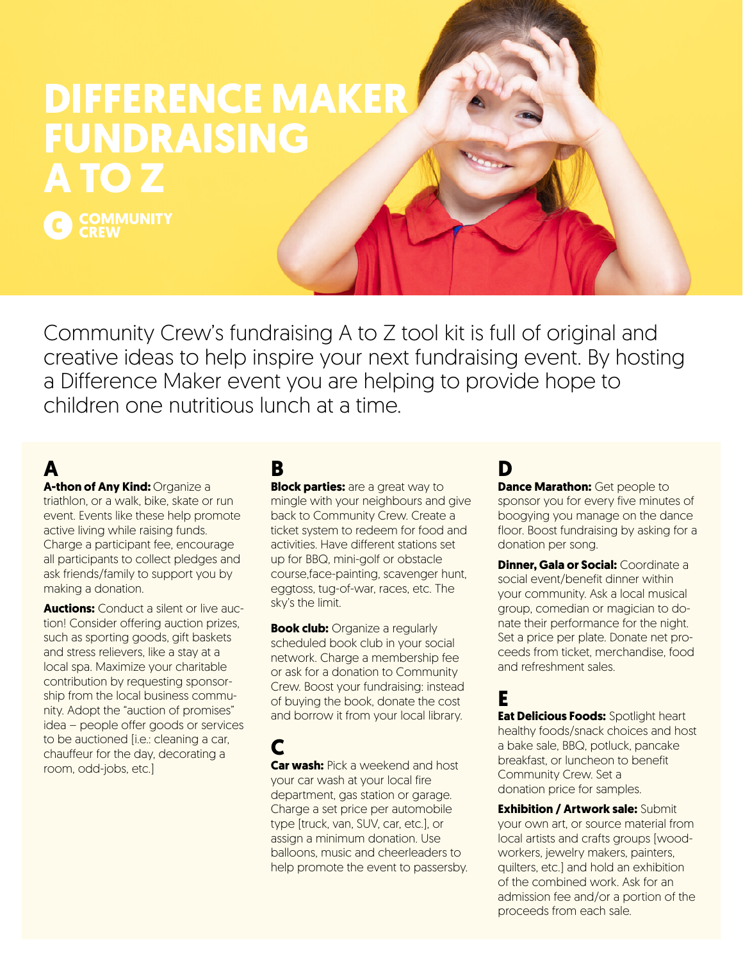# **DIFFERENCE MAKER FUNDRAISING A TO Z**

C COMMUNITY

Community Crew's fundraising A to Z tool kit is full of original and creative ideas to help inspire your next fundraising event. By hosting a Difference Maker event you are helping to provide hope to children one nutritious lunch at a time.

# **A**

**A-thon of Any Kind:** Organize a triathlon, or a walk, bike, skate or run event. Events like these help promote active living while raising funds. Charge a participant fee, encourage all participants to collect pledges and ask friends/family to support you by making a donation.

**Auctions:** Conduct a silent or live auction! Consider offering auction prizes, such as sporting goods, gift baskets and stress relievers, like a stay at a local spa. Maximize your charitable contribution by requesting sponsorship from the local business community. Adopt the "auction of promises" idea – people offer goods or services to be auctioned [i.e.: cleaning a car, chauffeur for the day, decorating a room, odd-jobs, etc.]

# **B**

**Block parties:** are a great way to mingle with your neighbours and give back to Community Crew. Create a ticket system to redeem for food and activities. Have different stations set up for BBQ, mini-golf or obstacle course,face-painting, scavenger hunt, eggtoss, tug-of-war, races, etc. The sky's the limit.

**Book club:** Organize a regularly scheduled book club in your social network. Charge a membership fee or ask for a donation to Community Crew. Boost your fundraising: instead of buying the book, donate the cost and borrow it from your local library.

#### **C Car wash:** Pick a weekend and host your car wash at your local fire department, gas station or garage. Charge a set price per automobile type [truck, van, SUV, car, etc.], or assign a minimum donation. Use balloons, music and cheerleaders to help promote the event to passersby.

# **D**

**Dance Marathon:** Get people to sponsor you for every five minutes of boogying you manage on the dance floor. Boost fundraising by asking for a donation per song.

**Dinner, Gala or Social:** Coordinate a social event/benefit dinner within your community. Ask a local musical group, comedian or magician to donate their performance for the night. Set a price per plate. Donate net proceeds from ticket, merchandise, food and refreshment sales.

### **E**

**Eat Delicious Foods:** Spotlight heart healthy foods/snack choices and host a bake sale, BBQ, potluck, pancake breakfast, or luncheon to benefit Community Crew. Set a donation price for samples.

**Exhibition / Artwork sale:** Submit your own art, or source material from local artists and crafts groups [woodworkers, jewelry makers, painters, quilters, etc.] and hold an exhibition of the combined work. Ask for an admission fee and/or a portion of the proceeds from each sale.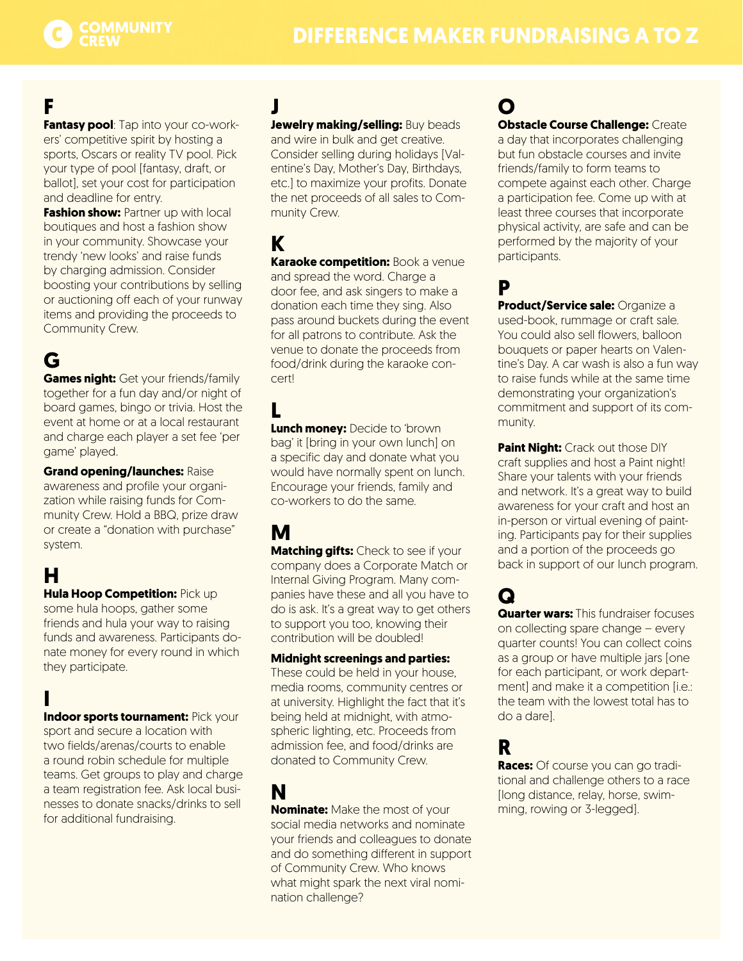

# **F**

**Fantasy pool**: Tap into your co-workers' competitive spirit by hosting a sports, Oscars or reality TV pool. Pick your type of pool [fantasy, draft, or ballot], set your cost for participation and deadline for entry.

**Fashion show: Partner up with local** boutiques and host a fashion show in your community. Showcase your trendy 'new looks' and raise funds by charging admission. Consider boosting your contributions by selling or auctioning off each of your runway items and providing the proceeds to Community Crew.

# **G**

**Games night:** Get your friends/family together for a fun day and/or night of board games, bingo or trivia. Host the event at home or at a local restaurant and charge each player a set fee 'per game' played.

**Grand opening/launches:** Raise awareness and profile your organization while raising funds for Community Crew. Hold a BBQ, prize draw or create a "donation with purchase" system.

# **H**

**Hula Hoop Competition:** Pick up some hula hoops, gather some friends and hula your way to raising funds and awareness. Participants donate money for every round in which

### **I Indoor sports tournament: Pick your**

they participate.

sport and secure a location with two fields/arenas/courts to enable a round robin schedule for multiple teams. Get groups to play and charge a team registration fee. Ask local businesses to donate snacks/drinks to sell for additional fundraising.

# **J**

**Jewelry making/selling: Buy beads** and wire in bulk and get creative. Consider selling during holidays [Valentine's Day, Mother's Day, Birthdays, etc.] to maximize your profits. Donate the net proceeds of all sales to Community Crew.

**K Karaoke competition:** Book a venue and spread the word. Charge a door fee, and ask singers to make a donation each time they sing. Also pass around buckets during the event for all patrons to contribute. Ask the venue to donate the proceeds from food/drink during the karaoke concert!

### **L**

**Lunch money:** Decide to 'brown bag' it [bring in your own lunch] on a specific day and donate what you would have normally spent on lunch. Encourage your friends, family and co-workers to do the same.

# **M**

**Matching gifts:** Check to see if your company does a Corporate Match or Internal Giving Program. Many companies have these and all you have to do is ask. It's a great way to get others to support you too, knowing their contribution will be doubled!

#### **Midnight screenings and parties:**

These could be held in your house, media rooms, community centres or at university. Highlight the fact that it's being held at midnight, with atmospheric lighting, etc. Proceeds from admission fee, and food/drinks are donated to Community Crew.

# **N**

**Nominate:** Make the most of your social media networks and nominate your friends and colleagues to donate and do something different in support of Community Crew. Who knows what might spark the next viral nomination challenge?

# **O**

**Obstacle Course Challenge: Create** a day that incorporates challenging but fun obstacle courses and invite friends/family to form teams to compete against each other. Charge a participation fee. Come up with at least three courses that incorporate physical activity, are safe and can be performed by the majority of your participants.

## **P**

**Product/Service sale:** Organize a used-book, rummage or craft sale. You could also sell flowers, balloon bouquets or paper hearts on Valentine's Day. A car wash is also a fun way to raise funds while at the same time demonstrating your organization's commitment and support of its community.

**Paint Night: Crack out those DIY** craft supplies and host a Paint night! Share your talents with your friends and network. It's a great way to build awareness for your craft and host an in-person or virtual evening of painting. Participants pay for their supplies and a portion of the proceeds go back in support of our lunch program.

# **Q**

**Quarter wars: This fundraiser focuses** on collecting spare change – every quarter counts! You can collect coins as a group or have multiple jars [one for each participant, or work department] and make it a competition [i.e.: the team with the lowest total has to do a dare].

## **R**

**Races:** Of course you can go traditional and challenge others to a race [long distance, relay, horse, swimming, rowing or 3-legged].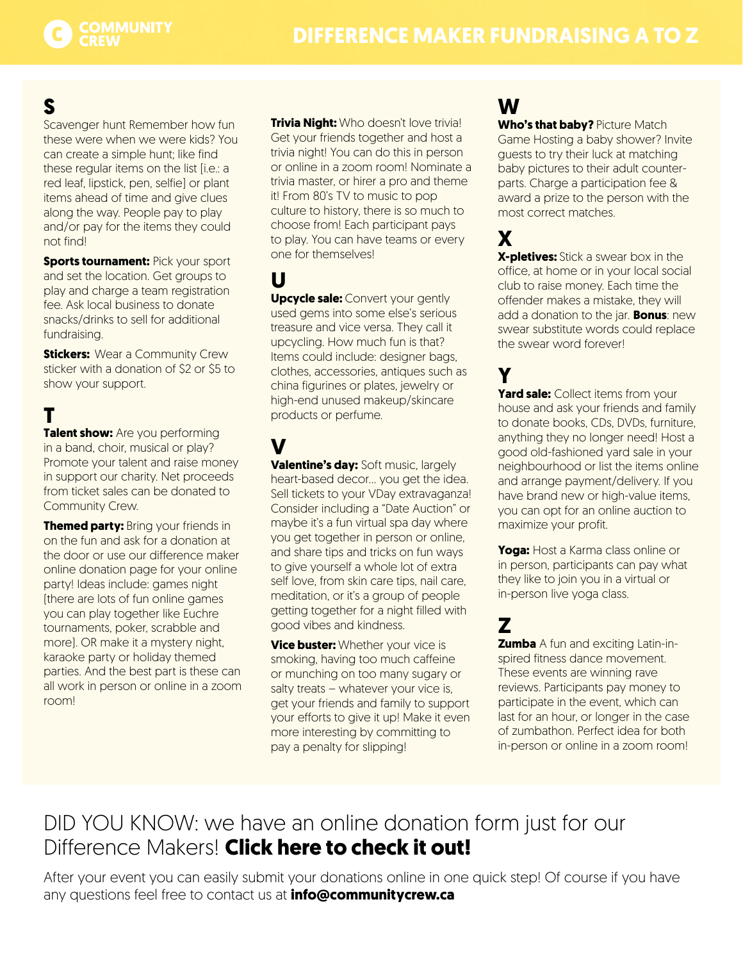

# **S**

Scavenger hunt Remember how fun these were when we were kids? You can create a simple hunt; like find these regular items on the list [i.e.: a red leaf, lipstick, pen, selfie] or plant items ahead of time and give clues along the way. People pay to play and/or pay for the items they could not find!

**Sports tournament: Pick your sport** and set the location. Get groups to play and charge a team registration fee. Ask local business to donate snacks/drinks to sell for additional fundraising.

**Stickers:** Wear a Community Crew sticker with a donation of \$2 or \$5 to show your support.

# **T**

**Talent show:** Are you performing in a band, choir, musical or play? Promote your talent and raise money in support our charity. Net proceeds from ticket sales can be donated to Community Crew.

**Themed party: Bring your friends in** on the fun and ask for a donation at the door or use our difference maker online donation page for your online party! Ideas include: games night (there are lots of fun online games you can play together like Euchre tournaments, poker, scrabble and more). OR make it a mystery night, karaoke party or holiday themed parties. And the best part is these can all work in person or online in a zoom room!

**Trivia Night:** Who doesn't love trivia! Get your friends together and host a trivia night! You can do this in person or online in a zoom room! Nominate a trivia master, or hirer a pro and theme it! From 80's TV to music to pop culture to history, there is so much to choose from! Each participant pays to play. You can have teams or every one for themselves!

**U Upcycle sale: Convert your gently** used gems into some else's serious treasure and vice versa. They call it upcycling. How much fun is that? Items could include: designer bags, clothes, accessories, antiques such as china figurines or plates, jewelry or high-end unused makeup/skincare products or perfume.

# **V**

**Valentine's day:** Soft music, largely heart-based decor… you get the idea. Sell tickets to your VDay extravaganza! Consider including a "Date Auction" or maybe it's a fun virtual spa day where you get together in person or online, and share tips and tricks on fun ways to give yourself a whole lot of extra self love, from skin care tips, nail care, meditation, or it's a group of people getting together for a night filled with good vibes and kindness.

**Vice buster:** Whether your vice is smoking, having too much caffeine or munching on too many sugary or salty treats – whatever your vice is, get your friends and family to support your efforts to give it up! Make it even more interesting by committing to pay a penalty for slipping!

# **W**

**Who's that baby?** Picture Match Game Hosting a baby shower? Invite guests to try their luck at matching baby pictures to their adult counterparts. Charge a participation fee & award a prize to the person with the most correct matches.

# **X**

**X-pletives:** Stick a swear box in the office, at home or in your local social club to raise money. Each time the offender makes a mistake, they will add a donation to the jar. **Bonus**: new swear substitute words could replace the swear word forever!

## **Y**

**Yard sale:** Collect items from your house and ask your friends and family to donate books, CDs, DVDs, furniture, anything they no longer need! Host a good old-fashioned yard sale in your neighbourhood or list the items online and arrange payment/delivery. If you have brand new or high-value items, you can opt for an online auction to maximize your profit.

**Yoga:** Host a Karma class online or in person, participants can pay what they like to join you in a virtual or in-person live yoga class.

# **Z**

**Zumba** A fun and exciting Latin-inspired fitness dance movement. These events are winning rave reviews. Participants pay money to participate in the event, which can last for an hour, or longer in the case of zumbathon. Perfect idea for both in-person or online in a zoom room!

# DID YOU KNOW: we have an online donation form just for our Difference Makers! **[Click here to check it out!](https://communitycrew.ca/difference-makers/donations/)**

After your event you can easily submit your donations online in one quick step! Of course if you have any questions feel free to contact us at **[info@communitycrew.ca](mailto:info%40communitycrew.ca?subject=Difference%20Maker%20Question)**